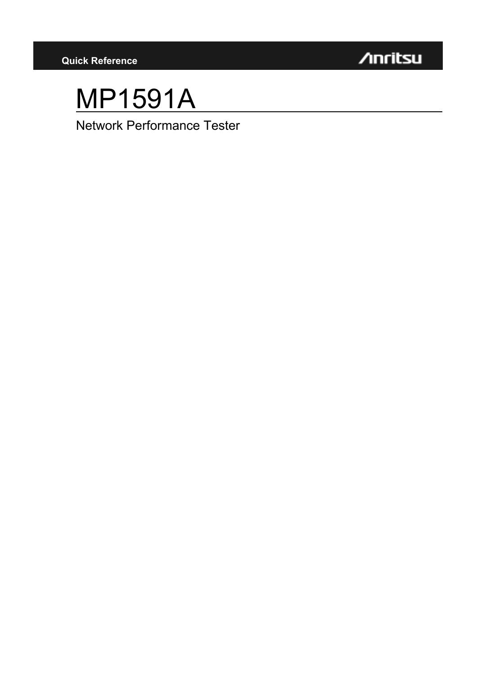

## MP1591A

Network Performance Tester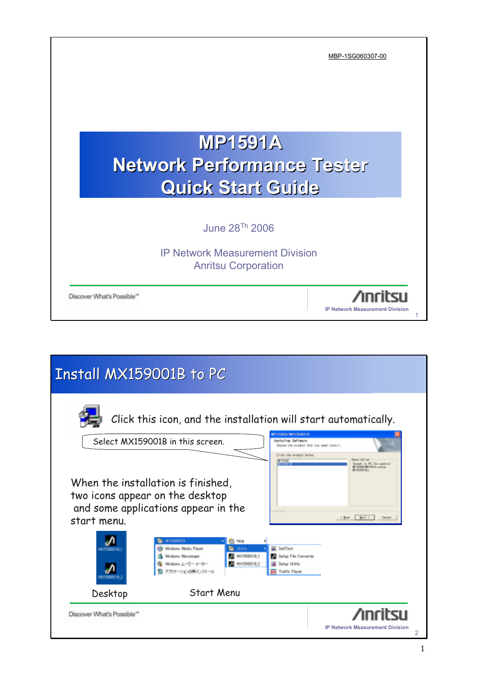|                                                                                                  | MBP-1SG060307-00                       |
|--------------------------------------------------------------------------------------------------|----------------------------------------|
| <b>MP1591A</b><br><b>Network Performance Tester</b>                                              |                                        |
| <b>Quick Start Guide</b><br>June 28 <sup>Th</sup> 2006                                           |                                        |
| <b>IP Network Measurement Division</b><br><b>Anritsu Corporation</b><br>Discover What's Possible | <b>IP Network Measurement Division</b> |

| <b>Install MX159001B to PC</b>         |                                                                                                                                                                                           |                                                                                                                                           |                                                                         |
|----------------------------------------|-------------------------------------------------------------------------------------------------------------------------------------------------------------------------------------------|-------------------------------------------------------------------------------------------------------------------------------------------|-------------------------------------------------------------------------|
|                                        | Click this icon, and the installation will start automatically.                                                                                                                           |                                                                                                                                           |                                                                         |
|                                        | Select MX159001B in this screen.                                                                                                                                                          | <b>#P15800JM00156#01E</b><br>Installing Saffragro<br>Onema the product that you need incluit.<br>Click the product below.<br>$4 - 10 + 1$ | Deacript rate<br>larget. In FC 1to meting I<br>comp./WPT101.6. sue lone |
| start menu.                            | When the installation is finished,<br>two icons appear on the desktop<br>and some applications appear in the                                                                              |                                                                                                                                           | KBak   Bot. 2<br>Daniel                                                 |
|                                        | <b>COSSOEIB</b><br><b>CD</b> Help<br><sup>69</sup> Windows Media Player<br>∍<br><b>United</b><br>MX15980181<br>Windows Messenger<br>Nindows L-E- s-ts-<br>Mod 59801B.2<br>アカサーションの再インストール | Self Test<br>Sirtup File Converter<br>Selve United<br><b>Traffic Player</b>                                                               |                                                                         |
| Desktop                                | <b>Start Menu</b>                                                                                                                                                                         |                                                                                                                                           |                                                                         |
| Discover What's Possible <sup>14</sup> |                                                                                                                                                                                           |                                                                                                                                           | <b>IP Network Measurement Division</b><br>2                             |

 $\overline{\phantom{0}}$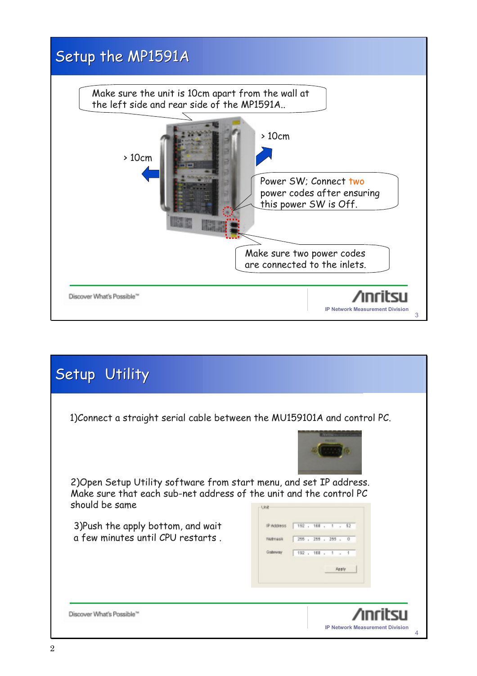

| Setup Utility                                                                                                                                               |                                                                                                                |
|-------------------------------------------------------------------------------------------------------------------------------------------------------------|----------------------------------------------------------------------------------------------------------------|
| 1) Connect a straight serial cable between the MU159101A and control PC.                                                                                    |                                                                                                                |
| 2) Open Setup Utility software from start menu, and set IP address.<br>Make sure that each sub-net address of the unit and the control PC<br>should be same | Unit                                                                                                           |
| 3) Push the apply bottom, and wait<br>a few minutes until CPU restarts.                                                                                     | 192 . 168 . 1 . 52<br>IP Address<br>255 . 255 . 255 . 0<br>Motriask<br>192 . 181 . 1 . 1<br>Gabrierav<br>Apply |
| Discover What's Possible'                                                                                                                                   | <b>IP Network Measurement Division</b><br>4                                                                    |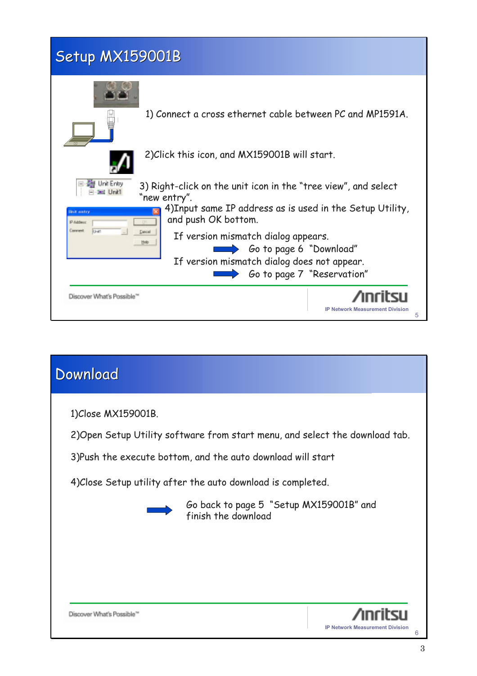## Setup MX159001B



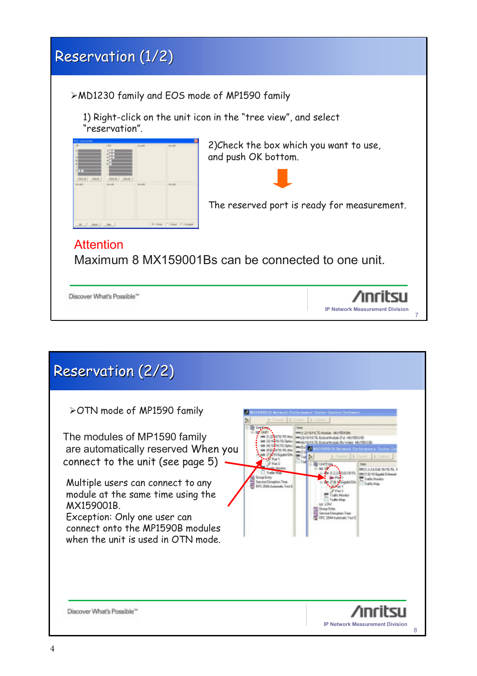## Reservation (1/2) ¾MD1230 family and EOS mode of MP1590 family 1) Right-click on the unit icon in the "tree view", and select "reservation". 2)Check the box which you want to use, and push OK bottom. The reserved port is ready for measurement. Attention Maximum 8 MX159001Bs can be connected to one unit. Discover What's Possible™ **IP Network Measurement Division** 7